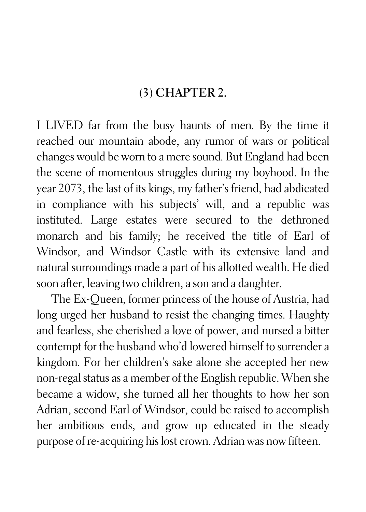## (3) CHAPTER 2.

I LIVED far from the busy haunts of men. By the time it reached our mountain abode, any rumor of wars or political changes would be worn to a mere sound. But England had been the scene of momentous struggles during my boyhood. In the year 2073, the last of its kings, my father's friend, had abdicated in compliance with his subjects' will, and a republic was instituted. Large estates were secured to the dethroned monarch and his family; he received the title of Earl of Windsor, and Windsor Castle with its extensive land and natural surroundings made a part of his allotted wealth. He died soon after, leaving two children, a son and a daughter.

The Ex-Queen, former princess of the house of Austria, had long urged her husband to resist the changing times. Haughty and fearless, she cherished a love of power, and nursed a bitter contempt for the husband who'd lowered himself to surrender a kingdom. For her children's sake alone she accepted her new non-regal status as a member of the English republic. When she became a widow, she turned all her thoughts to how her son Adrian, second Earl of Windsor, could be raised to accomplish her ambitious ends, and grow up educated in the steady purpose of re-acquiring his lost crown. Adrian was now fifteen.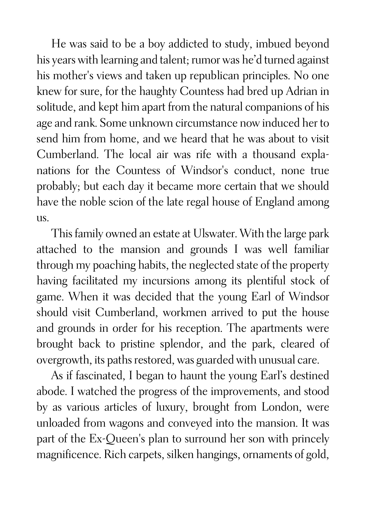He was said to be a boy addicted to study, imbued beyond his years with learning and talent; rumor was he'd turned against his mother's views and taken up republican principles. No one knew for sure, for the haughty Countess had bred up Adrian in solitude, and kept him apart from the natural companions of his age and rank. Some unknown circumstance now induced her to send him from home, and we heard that he was about to visit Cumberland. The local air was rife with a thousand explanations for the Countess of Windsor's conduct, none true probably; but each day it became more certain that we should have the noble scion of the late regal house of England among us.

This family owned an estate at Ulswater. With the large park attached to the mansion and grounds I was well familiar through my poaching habits, the neglected state of the property having facilitated my incursions among its plentiful stock of game. When it was decided that the young Earl of Windsor should visit Cumberland, workmen arrived to put the house and grounds in order for his reception. The apartments were brought back to pristine splendor, and the park, cleared of overgrowth, its paths restored, was guarded with unusual care.

As if fascinated, I began to haunt the young Earl's destined abode. I watched the progress of the improvements, and stood by as various articles of luxury, brought from London, were unloaded from wagons and conveyed into the mansion. It was part of the Ex-Queen's plan to surround her son with princely magnificence. Rich carpets, silken hangings, ornaments of gold,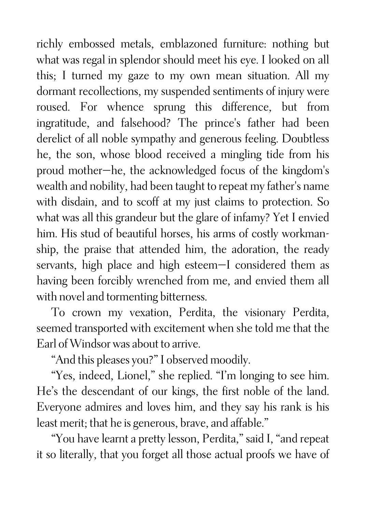richly embossed metals, emblazoned furniture: nothing but what was regal in splendor should meet his eye. I looked on all this; I turned my gaze to my own mean situation. All my dormant recollections, my suspended sentiments of injury were roused. For whence sprung this difference, but from ingratitude, and falsehood? The prince's father had been derelict of all noble sympathy and generous feeling. Doubtless he, the son, whose blood received a mingling tide from his proud mother—he, the acknowledged focus of the kingdom's wealth and nobility, had been taught to repeat my father's name with disdain, and to scoff at my just claims to protection. So what was all this grandeur but the glare of infamy? Yet I envied him. His stud of beautiful horses, his arms of costly workmanship, the praise that attended him, the adoration, the ready servants, high place and high esteem—I considered them as having been forcibly wrenched from me, and envied them all with novel and tormenting bitterness.

To crown my vexation, Perdita, the visionary Perdita, seemed transported with excitement when she told me that the Earl of Windsor was about to arrive.

"And this pleases you?" I observed moodily.

"Yes, indeed, Lionel," she replied. "I'm longing to see him. He's the descendant of our kings, the first noble of the land. Everyone admires and loves him, and they say his rank is his least merit; that he is generous, brave, and affable."

"You have learnt a pretty lesson, Perdita," said I, "and repeat it so literally, that you forget all those actual proofs we have of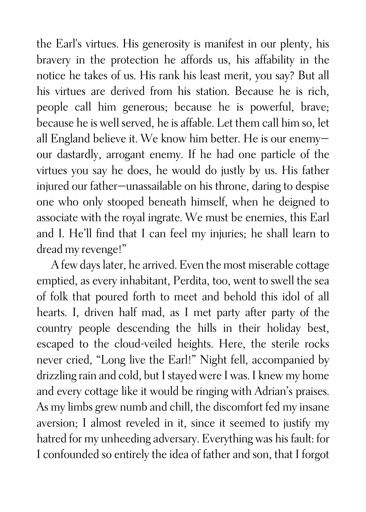the Earl's virtues. His generosity is manifest in our plenty, his bravery in the protection he affords us, his affability in the notice he takes of us. His rank his least merit, you say? But all his virtues are derived from his station. Because he is rich, people call him generous; because he is powerful, brave; because he is well served, he is affable. Let them call him so, let all England believe it. We know him better. He is our enemy our dastardly, arrogant enemy. If he had one particle of the virtues you say he does, he would do justly by us. His father injured our father—unassailable on his throne, daring to despise one who only stooped beneath himself, when he deigned to associate with the royal ingrate. We must be enemies, this Earl and I. He'll find that I can feel my injuries; he shall learn to dread my revenge!"

A few days later, he arrived. Even the most miserable cottage emptied, as every inhabitant, Perdita, too, went to swell the sea of folk that poured forth to meet and behold this idol of all hearts. I, driven half mad, as I met party after party of the country people descending the hills in their holiday best, escaped to the cloud-veiled heights. Here, the sterile rocks never cried, "Long live the Earl!" Night fell, accompanied by drizzling rain and cold, but I stayed were I was. I knew my home and every cottage like it would be ringing with Adrian's praises. As my limbs grew numb and chill, the discomfort fed my insane aversion; I almost reveled in it, since it seemed to justify my hatred for my unheeding adversary. Everything was his fault: for I confounded so entirely the idea of father and son, that I forgot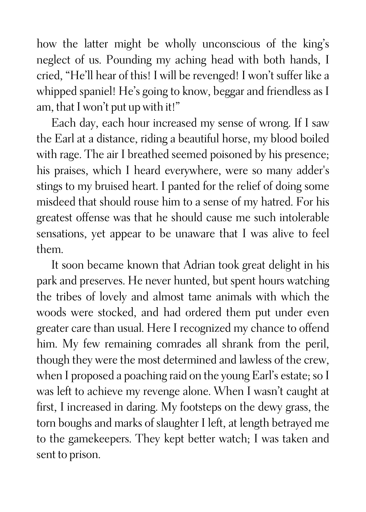how the latter might be wholly unconscious of the king's neglect of us. Pounding my aching head with both hands, I cried, "He'll hear of this! I will be revenged! I won't suffer like a whipped spaniel! He's going to know, beggar and friendless as I am, that I won't put up with it!"

Each day, each hour increased my sense of wrong. If I saw the Earl at a distance, riding a beautiful horse, my blood boiled with rage. The air I breathed seemed poisoned by his presence; his praises, which I heard everywhere, were so many adder's stings to my bruised heart. I panted for the relief of doing some misdeed that should rouse him to a sense of my hatred. For his greatest offense was that he should cause me such intolerable sensations, yet appear to be unaware that I was alive to feel them.

It soon became known that Adrian took great delight in his park and preserves. He never hunted, but spent hours watching the tribes of lovely and almost tame animals with which the woods were stocked, and had ordered them put under even greater care than usual. Here I recognized my chance to offend him. My few remaining comrades all shrank from the peril, though they were the most determined and lawless of the crew, when I proposed a poaching raid on the young Earl's estate; so I was left to achieve my revenge alone. When I wasn't caught at first, I increased in daring. My footsteps on the dewy grass, the torn boughs and marks of slaughter I left, at length betrayed me to the gamekeepers. They kept better watch; I was taken and sent to prison.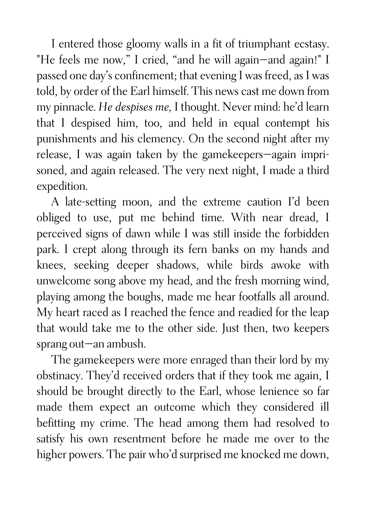I entered those gloomy walls in a fit of triumphant ecstasy. "He feels me now," I cried, "and he will again—and again!" I passed one day's confinement; that evening I was freed, as I was told, by order of the Earl himself. This news cast me down from my pinnacle. *He despises me,* I thought. Never mind: he'd learn that I despised him, too, and held in equal contempt his punishments and his clemency. On the second night after my release, I was again taken by the gamekeepers—again imprisoned, and again released. The very next night, I made a third expedition.

A late-setting moon, and the extreme caution I'd been obliged to use, put me behind time. With near dread, I perceived signs of dawn while I was still inside the forbidden park. I crept along through its fern banks on my hands and knees, seeking deeper shadows, while birds awoke with unwelcome song above my head, and the fresh morning wind, playing among the boughs, made me hear footfalls all around. My heart raced as I reached the fence and readied for the leap that would take me to the other side. Just then, two keepers sprang out—an ambush.

The gamekeepers were more enraged than their lord by my obstinacy. They'd received orders that if they took me again, I should be brought directly to the Earl, whose lenience so far made them expect an outcome which they considered ill befitting my crime. The head among them had resolved to satisfy his own resentment before he made me over to the higher powers. The pair who'd surprised me knocked me down,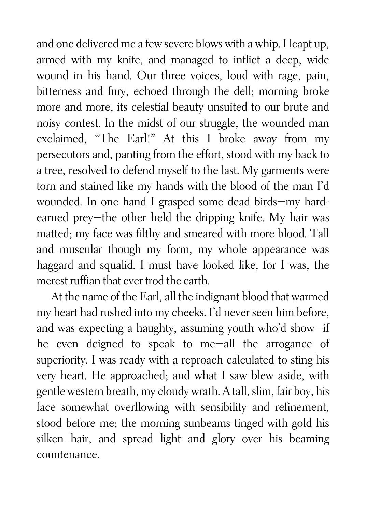and one delivered me a few severe blows with a whip. I leapt up, armed with my knife, and managed to inflict a deep, wide wound in his hand. Our three voices, loud with rage, pain, bitterness and fury, echoed through the dell; morning broke more and more, its celestial beauty unsuited to our brute and noisy contest. In the midst of our struggle, the wounded man exclaimed, "The Earl!" At this I broke away from my persecutors and, panting from the effort, stood with my back to a tree, resolved to defend myself to the last. My garments were torn and stained like my hands with the blood of the man I'd wounded. In one hand I grasped some dead birds—my hardearned prey—the other held the dripping knife. My hair was matted; my face was filthy and smeared with more blood. Tall and muscular though my form, my whole appearance was haggard and squalid. I must have looked like, for I was, the merest ruffian that ever trod the earth.

At the name of the Earl, all the indignant blood that warmed my heart had rushed into my cheeks. I'd never seen him before, and was expecting a haughty, assuming youth who'd show—if he even deigned to speak to me—all the arrogance of superiority. I was ready with a reproach calculated to sting his very heart. He approached; and what I saw blew aside, with gentle western breath, my cloudy wrath. A tall, slim, fair boy, his face somewhat overflowing with sensibility and refinement, stood before me; the morning sunbeams tinged with gold his silken hair, and spread light and glory over his beaming countenance.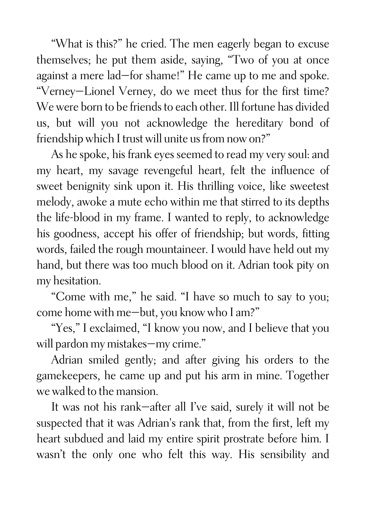"What is this?" he cried. The men eagerly began to excuse themselves; he put them aside, saying, "Two of you at once against a mere lad—for shame!" He came up to me and spoke. "Verney—Lionel Verney, do we meet thus for the first time? We were born to be friends to each other. Ill fortune has divided us, but will you not acknowledge the hereditary bond of friendship which I trust will unite us from now on?"

As he spoke, his frank eyes seemed to read my very soul: and my heart, my savage revengeful heart, felt the influence of sweet benignity sink upon it. His thrilling voice, like sweetest melody, awoke a mute echo within me that stirred to its depths the life-blood in my frame. I wanted to reply, to acknowledge his goodness, accept his offer of friendship; but words, fitting words, failed the rough mountaineer. I would have held out my hand, but there was too much blood on it. Adrian took pity on my hesitation.

"Come with me," he said. "I have so much to say to you; come home with me—but, you know who I am?"

"Yes," I exclaimed, "I know you now, and I believe that you will pardon my mistakes—my crime."

Adrian smiled gently; and after giving his orders to the gamekeepers, he came up and put his arm in mine. Together we walked to the mansion.

It was not his rank—after all I've said, surely it will not be suspected that it was Adrian's rank that, from the first, left my heart subdued and laid my entire spirit prostrate before him. I wasn't the only one who felt this way. His sensibility and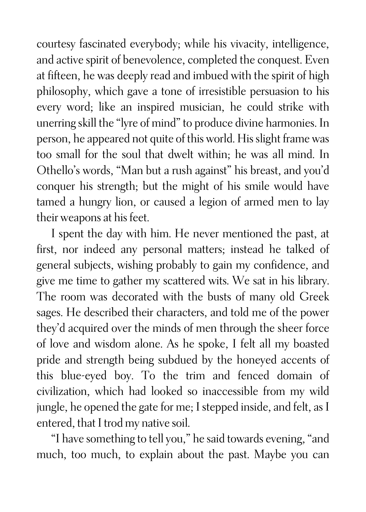courtesy fascinated everybody; while his vivacity, intelligence, and active spirit of benevolence, completed the conquest. Even at fifteen, he was deeply read and imbued with the spirit of high philosophy, which gave a tone of irresistible persuasion to his every word; like an inspired musician, he could strike with unerring skill the "lyre of mind" to produce divine harmonies. In person, he appeared not quite of this world. His slight frame was too small for the soul that dwelt within; he was all mind. In Othello's words, "Man but a rush against" his breast, and you'd conquer his strength; but the might of his smile would have tamed a hungry lion, or caused a legion of armed men to lay their weapons at his feet.

I spent the day with him. He never mentioned the past, at first, nor indeed any personal matters; instead he talked of general subjects, wishing probably to gain my confidence, and give me time to gather my scattered wits. We sat in his library. The room was decorated with the busts of many old Greek sages. He described their characters, and told me of the power they'd acquired over the minds of men through the sheer force of love and wisdom alone. As he spoke, I felt all my boasted pride and strength being subdued by the honeyed accents of this blue-eyed boy. To the trim and fenced domain of civilization, which had looked so inaccessible from my wild jungle, he opened the gate for me; I stepped inside, and felt, as I entered, that I trod my native soil.

"I have something to tell you," he said towards evening, "and much, too much, to explain about the past. Maybe you can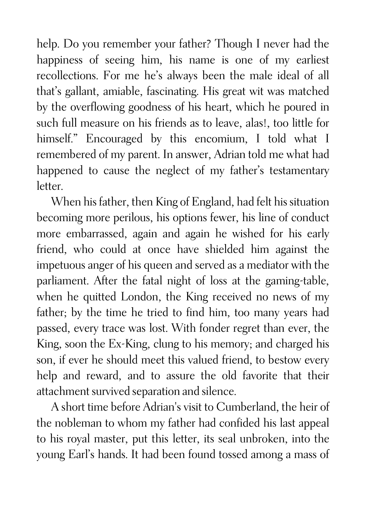help. Do you remember your father? Though I never had the happiness of seeing him, his name is one of my earliest recollections. For me he's always been the male ideal of all that's gallant, amiable, fascinating. His great wit was matched by the overflowing goodness of his heart, which he poured in such full measure on his friends as to leave, alas!, too little for himself." Encouraged by this encomium, I told what I remembered of my parent. In answer, Adrian told me what had happened to cause the neglect of my father's testamentary letter.

When his father, then King of England, had felt his situation becoming more perilous, his options fewer, his line of conduct more embarrassed, again and again he wished for his early friend, who could at once have shielded him against the impetuous anger of his queen and served as a mediator with the parliament. After the fatal night of loss at the gaming-table, when he quitted London, the King received no news of my father; by the time he tried to find him, too many years had passed, every trace was lost. With fonder regret than ever, the King, soon the Ex-King, clung to his memory; and charged his son, if ever he should meet this valued friend, to bestow every help and reward, and to assure the old favorite that their attachment survived separation and silence.

A short time before Adrian's visit to Cumberland, the heir of the nobleman to whom my father had confided his last appeal to his royal master, put this letter, its seal unbroken, into the young Earl's hands. It had been found tossed among a mass of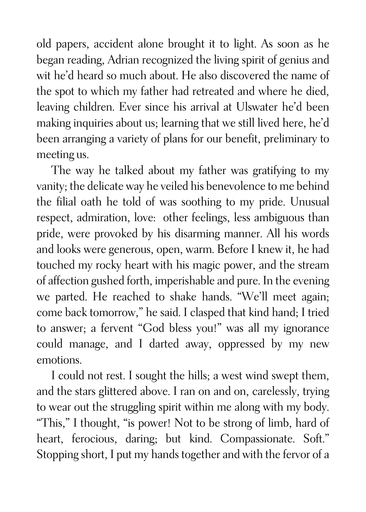old papers, accident alone brought it to light. As soon as he began reading, Adrian recognized the living spirit of genius and wit he'd heard so much about. He also discovered the name of the spot to which my father had retreated and where he died, leaving children. Ever since his arrival at Ulswater he'd been making inquiries about us; learning that we still lived here, he'd been arranging a variety of plans for our benefit, preliminary to meeting us.

The way he talked about my father was gratifying to my vanity; the delicate way he veiled his benevolence to me behind the filial oath he told of was soothing to my pride. Unusual respect, admiration, love: other feelings, less ambiguous than pride, were provoked by his disarming manner. All his words and looks were generous, open, warm. Before I knew it, he had touched my rocky heart with his magic power, and the stream of affection gushed forth, imperishable and pure. In the evening we parted. He reached to shake hands. "We'll meet again; come back tomorrow," he said. I clasped that kind hand; I tried to answer; a fervent "God bless you!" was all my ignorance could manage, and I darted away, oppressed by my new emotions.

I could not rest. I sought the hills; a west wind swept them, and the stars glittered above. I ran on and on, carelessly, trying to wear out the struggling spirit within me along with my body. "This," I thought, "is power! Not to be strong of limb, hard of heart, ferocious, daring; but kind. Compassionate. Soft." Stopping short, I put my hands together and with the fervor of a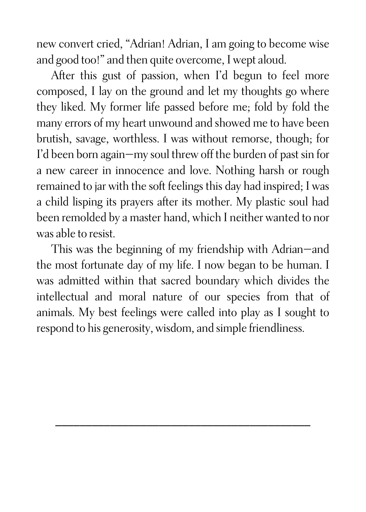new convert cried, "Adrian! Adrian, I am going to become wise and good too!" and then quite overcome, I wept aloud.

After this gust of passion, when I'd begun to feel more composed, I lay on the ground and let my thoughts go where they liked. My former life passed before me; fold by fold the many errors of my heart unwound and showed me to have been brutish, savage, worthless. I was without remorse, though; for I'd been born again—my soul threw off the burden of past sin for a new career in innocence and love. Nothing harsh or rough remained to jar with the soft feelings this day had inspired; I was a child lisping its prayers after its mother. My plastic soul had been remolded by a master hand, which I neither wanted to nor was able to resist.

This was the beginning of my friendship with Adrian—and the most fortunate day of my life. I now began to be human. I was admitted within that sacred boundary which divides the intellectual and moral nature of our species from that of animals. My best feelings were called into play as I sought to respond to his generosity, wisdom, and simple friendliness.

\_\_\_\_\_\_\_\_\_\_\_\_\_\_\_\_\_\_\_\_\_\_\_\_\_\_\_\_\_\_\_\_\_\_\_\_\_\_\_\_\_\_